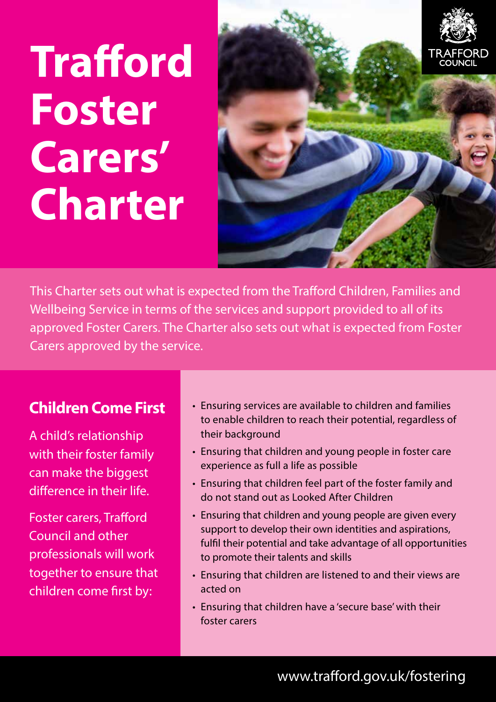# **Trafford Foster Carers' Charter**



This Charter sets out what is expected from the Trafford Children, Families and Wellbeing Service in terms of the services and support provided to all of its approved Foster Carers. The Charter also sets out what is expected from Foster Carers approved by the service.

#### **Children Come First**

A child's relationship with their foster family can make the biggest difference in their life.

Foster carers, Trafford Council and other professionals will work together to ensure that children come first by:

- Ensuring services are available to children and families to enable children to reach their potential, regardless of their background
- Ensuring that children and young people in foster care experience as full a life as possible
- Ensuring that children feel part of the foster family and do not stand out as Looked After Children
- Ensuring that children and young people are given every support to develop their own identities and aspirations, fulfil their potential and take advantage of all opportunities to promote their talents and skills
- Ensuring that children are listened to and their views are acted on
- Ensuring that children have a 'secure base' with their foster carers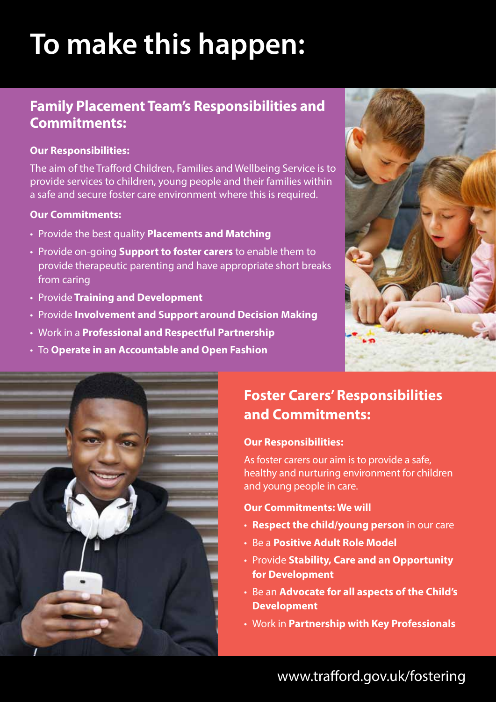# **To make this happen:**

#### **Family Placement Team's Responsibilities and Commitments:**

#### **Our Responsibilities:**

The aim of the Trafford Children, Families and Wellbeing Service is to provide services to children, young people and their families within a safe and secure foster care environment where this is required.

#### **Our Commitments:**

- • Provide the best quality **Placements and Matching**
- • Provide on-going **Support to foster carers** to enable them to provide therapeutic parenting and have appropriate short breaks from caring
- • Provide **Training and Development**
- • Provide **Involvement and Support around Decision Making**
- • Work in a **Professional and Respectful Partnership**
- • To **Operate in an Accountable and Open Fashion**





### **Foster Carers' Responsibilities and Commitments:**

#### **Our Responsibilities:**

As foster carers our aim is to provide a safe, healthy and nurturing environment for children and young people in care.

#### **Our Commitments: We will**

- • **Respect the child/young person** in our care
- • Be a **Positive Adult Role Model**
- • Provide **Stability, Care and an Opportunity for Development**
- • Be an **Advocate for all aspects of the Child's Development**
- • Work in **Partnership with Key Professionals**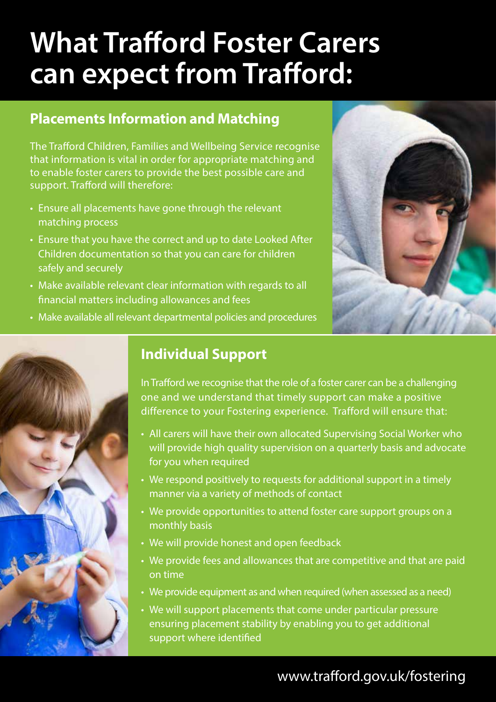# **What Trafford Foster Carers can expect from Trafford:**

#### **Placements Information and Matching**

The Trafford Children, Families and Wellbeing Service recognise that information is vital in order for appropriate matching and to enable foster carers to provide the best possible care and support. Trafford will therefore:

- Ensure all placements have gone through the relevant matching process
- Ensure that you have the correct and up to date Looked After Children documentation so that you can care for children safely and securely
- Make available relevant clear information with regards to all financial matters including allowances and fees



• Make available all relevant departmental policies and procedures



#### **Individual Support**

In Trafford we recognise that the role of a foster carer can be a challenging one and we understand that timely support can make a positive difference to your Fostering experience. Trafford will ensure that:

- All carers will have their own allocated Supervising Social Worker who will provide high quality supervision on a quarterly basis and advocate for you when required
- We respond positively to requests for additional support in a timely manner via a variety of methods of contact
- We provide opportunities to attend foster care support groups on a monthly basis
- We will provide honest and open feedback
- We provide fees and allowances that are competitive and that are paid on time
- We provide equipment as and when required (when assessed as a need)
- We will support placements that come under particular pressure ensuring placement stability by enabling you to get additional support where identified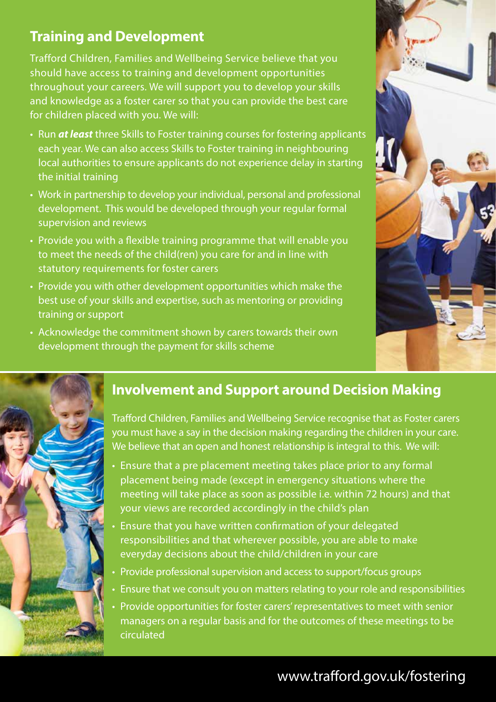#### **Training and Development**

Trafford Children, Families and Wellbeing Service believe that you should have access to training and development opportunities throughout your careers. We will support you to develop your skills and knowledge as a foster carer so that you can provide the best care for children placed with you. We will:

- Run **at least** three Skills to Foster training courses for fostering applicants each year. We can also access Skills to Foster training in neighbouring local authorities to ensure applicants do not experience delay in starting the initial training
- Work in partnership to develop your individual, personal and professional development. This would be developed through your regular formal supervision and reviews
- Provide you with a flexible training programme that will enable you to meet the needs of the child(ren) you care for and in line with statutory requirements for foster carers
- Provide you with other development opportunities which make the best use of your skills and expertise, such as mentoring or providing training or support
- Acknowledge the commitment shown by carers towards their own development through the payment for skills scheme



#### **Involvement and Support around Decision Making**

Trafford Children, Families and Wellbeing Service recognise that as Foster carers you must have a say in the decision making regarding the children in your care. We believe that an open and honest relationship is integral to this. We will:

- Ensure that a pre placement meeting takes place prior to any formal placement being made (except in emergency situations where the meeting will take place as soon as possible i.e. within 72 hours) and that your views are recorded accordingly in the child's plan
- Ensure that you have written confirmation of your delegated responsibilities and that wherever possible, you are able to make everyday decisions about the child/children in your care
- Provide professional supervision and access to support/focus groups
- Ensure that we consult you on matters relating to your role and responsibilities
- Provide opportunities for foster carers' representatives to meet with senior managers on a regular basis and for the outcomes of these meetings to be circulated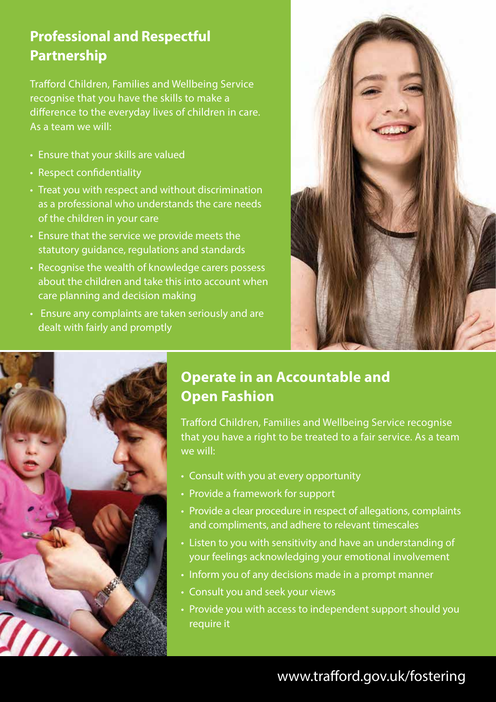#### **Professional and Respectful Partnership**

Trafford Children, Families and Wellbeing Service recognise that you have the skills to make a difference to the everyday lives of children in care. As a team we will:

- Ensure that your skills are valued
- Respect confidentiality
- Treat you with respect and without discrimination as a professional who understands the care needs of the children in your care
- Ensure that the service we provide meets the statutory guidance, regulations and standards
- Recognise the wealth of knowledge carers possess about the children and take this into account when care planning and decision making
- Ensure any complaints are taken seriously and are dealt with fairly and promptly





#### **Operate in an Accountable and Open Fashion**

Trafford Children, Families and Wellbeing Service recognise that you have a right to be treated to a fair service. As a team we will:

- • Consult with you at every opportunity
- Provide a framework for support
- Provide a clear procedure in respect of allegations, complaints and compliments, and adhere to relevant timescales
- Listen to you with sensitivity and have an understanding of your feelings acknowledging your emotional involvement
- Inform you of any decisions made in a prompt manner
- Consult you and seek your views
- Provide you with access to independent support should you require it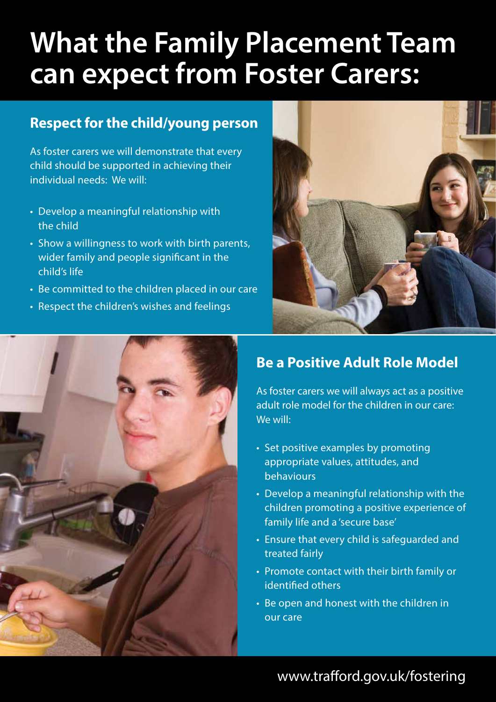# **What the Family Placement Team can expect from Foster Carers:**

#### **Respect for the child/young person**

As foster carers we will demonstrate that every child should be supported in achieving their individual needs: We will:

- Develop a meaningful relationship with the child
- Show a willingness to work with birth parents, wider family and people significant in the child's life
- Be committed to the children placed in our care
- Respect the children's wishes and feelings





#### **Be a Positive Adult Role Model**

As foster carers we will always act as a positive adult role model for the children in our care: We will:

- Set positive examples by promoting appropriate values, attitudes, and behaviours
- Develop a meaningful relationship with the children promoting a positive experience of family life and a 'secure base'
- Ensure that every child is safeguarded and treated fairly
- Promote contact with their birth family or identified others
- Be open and honest with the children in our care